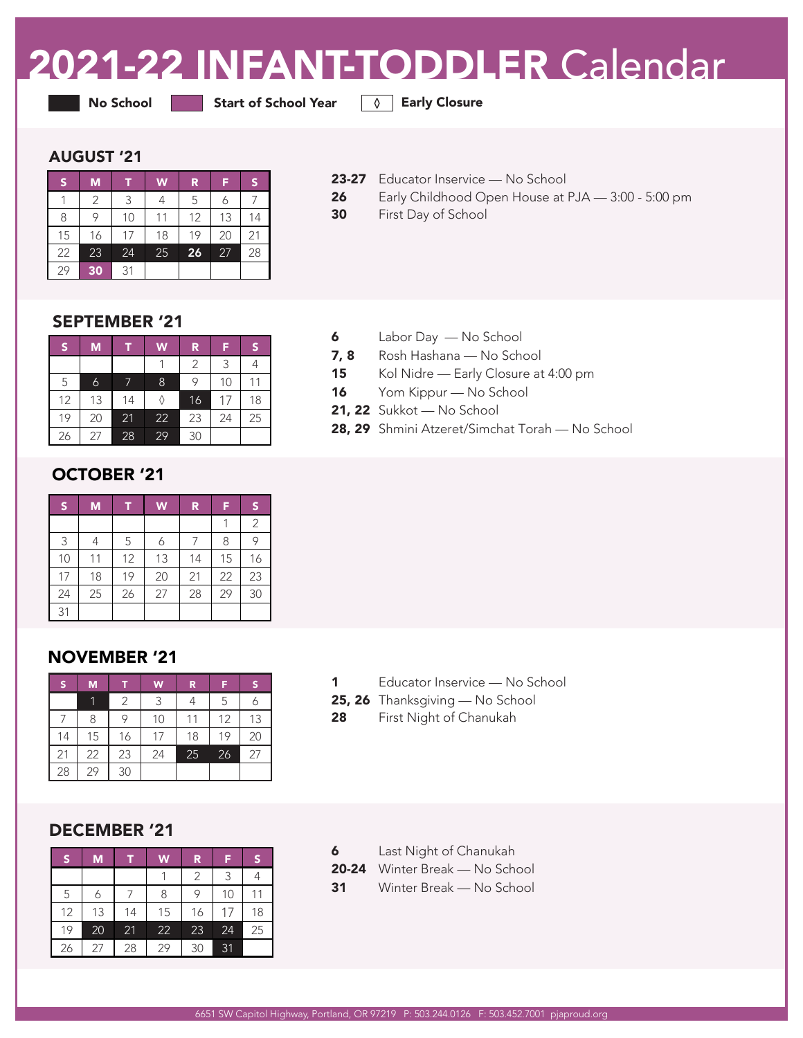# 2021-22 INFANT-TODDLER Calendar

● No School Start of School Year All Barly Closure

#### AUGUST '21

| lS. | M  |    | W  | R  | F  | S  |
|-----|----|----|----|----|----|----|
|     | 2  | 3  |    | 5  |    |    |
| 8   | 9  | 10 | 11 | 12 | 13 | 14 |
| 15  | 16 | 17 | 18 | 19 | 20 | 21 |
| 22  | 23 | 24 | 25 | 26 | 27 | 28 |
| 29  | 30 | 31 |    |    |    |    |

- 23-27 Educator Inservice No School
- 26 Early Childhood Open House at PJA 3:00 5:00 pm
- 30 First Day of School

# SEPTEMBER '21

| IS. | M  |    | W  | R  | F  | S  |
|-----|----|----|----|----|----|----|
|     |    |    |    | 2  | 3  |    |
| 5   | 6  |    | 8  | 9  | 10 |    |
| 12  | 13 | 14 |    | 16 | 17 | 18 |
| 19  | 20 | 21 | 22 | 23 | 24 | 25 |
| 26  | 27 | 28 | 29 | 30 |    |    |

# OCTOBER '21

| $\sf S$ | M  | Π  | W  | R  | F  | S, |
|---------|----|----|----|----|----|----|
|         |    |    |    |    |    | 2  |
| 3       |    | 5  | 6  |    | 8  |    |
| 10      | 11 | 12 | 13 | 14 | 15 | 16 |
| 17      | 18 | 19 | 20 | 21 | 22 | 23 |
| 24      | 25 | 26 | 27 | 28 | 29 | 30 |
| 31      |    |    |    |    |    |    |

# NOVEMBER '21

| 'S | M  |    | W  | $\mathbf R$ | F  | 'S. |
|----|----|----|----|-------------|----|-----|
|    | 1  | 2  | 3  |             | 5  |     |
|    | 8  | 9  | 10 | 11          | 12 | 13  |
| 14 | 15 | 16 | 17 | 18          | 19 | 20  |
| 21 | 22 | 23 | 24 | 25          | 26 | 27  |
| 28 | 29 | 30 |    |             |    |     |

# DECEMBER '21

| S  | M  |    | W  | R  | F  | S  |
|----|----|----|----|----|----|----|
|    |    |    |    | 2  | 3  |    |
| 5  | 6  |    | 8  | 9  | 10 | 11 |
| 12 | 13 | 14 | 15 | 16 | 17 | 18 |
| 19 | 20 | 21 | 22 | 23 | 24 | 25 |
| 26 | 27 | 28 | 29 | 30 | 31 |    |

- 6 Labor Day No School
- 7, 8 Rosh Hashana No School
- 15 Kol Nidre Early Closure at 4:00 pm
- 16 Yom Kippur No School
- 21, 22 Sukkot No School
- 28, 29 Shmini Atzeret/Simchat Torah No School

- 1 Educator Inservice No School
- 25, 26 Thanksgiving No School
- 28 First Night of Chanukah

- 6 Last Night of Chanukah
- 20-24 Winter Break No School
- 31 Winter Break No School